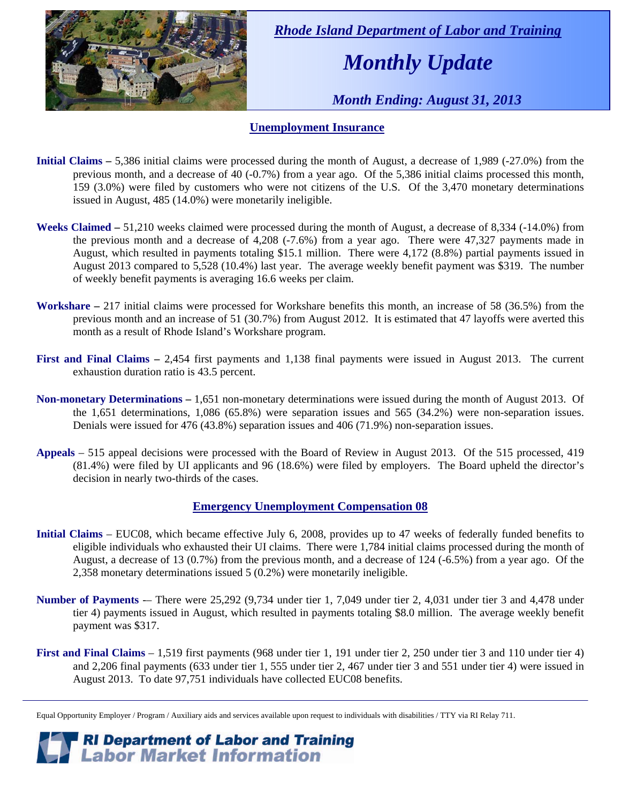

 *Rhode Island Department of Labor and Training* 

# *Monthly Update*

 *Month Ending: August 31, 2013* 

#### **Unemployment Insurance**

- **Initial Claims 5,386** initial claims were processed during the month of August, a decrease of 1,989 (-27.0%) from the previous month, and a decrease of 40 (-0.7%) from a year ago. Of the 5,386 initial claims processed this month, 159 (3.0%) were filed by customers who were not citizens of the U.S. Of the 3,470 monetary determinations issued in August, 485 (14.0%) were monetarily ineligible.
- **Weeks Claimed** 51,210 weeks claimed were processed during the month of August, a decrease of 8,334 (-14.0%) from the previous month and a decrease of 4,208 (-7.6%) from a year ago. There were 47,327 payments made in August, which resulted in payments totaling \$15.1 million. There were 4,172 (8.8%) partial payments issued in August 2013 compared to 5,528 (10.4%) last year. The average weekly benefit payment was \$319. The number of weekly benefit payments is averaging 16.6 weeks per claim.
- **Workshare –** 217 initial claims were processed for Workshare benefits this month, an increase of 58 (36.5%) from the previous month and an increase of 51 (30.7%) from August 2012. It is estimated that 47 layoffs were averted this month as a result of Rhode Island's Workshare program.
- **First and Final Claims –** 2,454 first payments and 1,138 final payments were issued in August 2013. The current exhaustion duration ratio is 43.5 percent.
- **Non-monetary Determinations –** 1,651 non-monetary determinations were issued during the month of August 2013. Of the 1,651 determinations, 1,086 (65.8%) were separation issues and 565 (34.2%) were non-separation issues. Denials were issued for 476 (43.8%) separation issues and 406 (71.9%) non-separation issues.
- **Appeals** 515 appeal decisions were processed with the Board of Review in August 2013. Of the 515 processed, 419 (81.4%) were filed by UI applicants and 96 (18.6%) were filed by employers. The Board upheld the director's decision in nearly two-thirds of the cases.

#### **Emergency Unemployment Compensation 08**

- **Initial Claims**  EUC08, which became effective July 6, 2008, provides up to 47 weeks of federally funded benefits to eligible individuals who exhausted their UI claims. There were 1,784 initial claims processed during the month of August, a decrease of 13 (0.7%) from the previous month, and a decrease of 124 (-6.5%) from a year ago. Of the 2,358 monetary determinations issued 5 (0.2%) were monetarily ineligible.
- **Number of Payments** -– There were 25,292 (9,734 under tier 1, 7,049 under tier 2, 4,031 under tier 3 and 4,478 under tier 4) payments issued in August, which resulted in payments totaling \$8.0 million. The average weekly benefit payment was \$317.
- **First and Final Claims**  1,519 first payments (968 under tier 1, 191 under tier 2, 250 under tier 3 and 110 under tier 4) and 2,206 final payments (633 under tier 1, 555 under tier 2, 467 under tier 3 and 551 under tier 4) were issued in August 2013. To date 97,751 individuals have collected EUC08 benefits.

*RI Department of Labor and Training*<br>*Labor Market Information* 

Equal Opportunity Employer / Program / Auxiliary aids and services available upon request to individuals with disabilities / TTY via RI Relay 711.